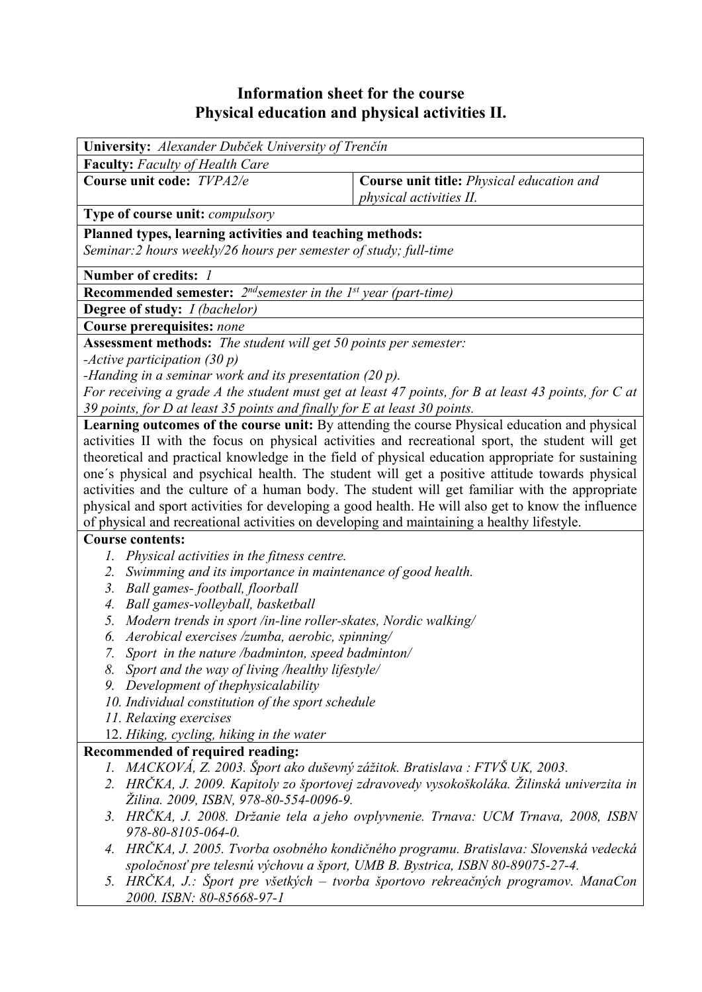## **Information sheet for the course Physical education and physical activities II.**

| University: Alexander Dubček University of Trenčín                                                  |                                                                                                    |  |  |  |  |  |
|-----------------------------------------------------------------------------------------------------|----------------------------------------------------------------------------------------------------|--|--|--|--|--|
| <b>Faculty:</b> Faculty of Health Care                                                              |                                                                                                    |  |  |  |  |  |
| Course unit code: TVPA2/e                                                                           | Course unit title: Physical education and<br><i>physical activities II.</i>                        |  |  |  |  |  |
| Type of course unit: compulsory                                                                     |                                                                                                    |  |  |  |  |  |
| Planned types, learning activities and teaching methods:                                            |                                                                                                    |  |  |  |  |  |
| Seminar: 2 hours weekly/26 hours per semester of study; full-time                                   |                                                                                                    |  |  |  |  |  |
| Number of credits: 1                                                                                |                                                                                                    |  |  |  |  |  |
| <b>Recommended semester:</b> $2^{nd}$ semester in the 1st year (part-time)                          |                                                                                                    |  |  |  |  |  |
| <b>Degree of study:</b> <i>I (bachelor)</i>                                                         |                                                                                                    |  |  |  |  |  |
| Course prerequisites: none                                                                          |                                                                                                    |  |  |  |  |  |
| Assessment methods: The student will get 50 points per semester:                                    |                                                                                                    |  |  |  |  |  |
| -Active participation $(30 p)$                                                                      |                                                                                                    |  |  |  |  |  |
| -Handing in a seminar work and its presentation $(20 p)$ .                                          |                                                                                                    |  |  |  |  |  |
| For receiving a grade A the student must get at least 47 points, for B at least 43 points, for C at |                                                                                                    |  |  |  |  |  |
| 39 points, for D at least 35 points and finally for E at least 30 points.                           |                                                                                                    |  |  |  |  |  |
|                                                                                                     | Learning outcomes of the course unit: By attending the course Physical education and physical      |  |  |  |  |  |
| activities II with the focus on physical activities and recreational sport, the student will get    |                                                                                                    |  |  |  |  |  |
| theoretical and practical knowledge in the field of physical education appropriate for sustaining   |                                                                                                    |  |  |  |  |  |
| one's physical and psychical health. The student will get a positive attitude towards physical      |                                                                                                    |  |  |  |  |  |
| activities and the culture of a human body. The student will get familiar with the appropriate      |                                                                                                    |  |  |  |  |  |
|                                                                                                     | physical and sport activities for developing a good health. He will also get to know the influence |  |  |  |  |  |
| of physical and recreational activities on developing and maintaining a healthy lifestyle.          |                                                                                                    |  |  |  |  |  |
| <b>Course contents:</b>                                                                             |                                                                                                    |  |  |  |  |  |
| 1. Physical activities in the fitness centre.                                                       |                                                                                                    |  |  |  |  |  |
| Swimming and its importance in maintenance of good health.<br>2.                                    |                                                                                                    |  |  |  |  |  |
| Ball games-football, floorball<br>3.                                                                |                                                                                                    |  |  |  |  |  |
| Ball games-volleyball, basketball<br>4.                                                             |                                                                                                    |  |  |  |  |  |
| Modern trends in sport /in-line roller-skates, Nordic walking/<br>5.                                |                                                                                                    |  |  |  |  |  |
| Aerobical exercises /zumba, aerobic, spinning/<br>6.                                                |                                                                                                    |  |  |  |  |  |
| 7. Sport in the nature /badminton, speed badminton/                                                 |                                                                                                    |  |  |  |  |  |
| 8. Sport and the way of living /healthy lifestyle/                                                  |                                                                                                    |  |  |  |  |  |
| 9. Development of thephysicalability                                                                |                                                                                                    |  |  |  |  |  |
| 10. Individual constitution of the sport schedule<br>11. Relaxing exercises                         |                                                                                                    |  |  |  |  |  |
| 12. Hiking, cycling, hiking in the water                                                            |                                                                                                    |  |  |  |  |  |
| Recommended of required reading:                                                                    |                                                                                                    |  |  |  |  |  |
| 1. MACKOVÁ, Z. 2003. Šport ako duševný zážitok. Bratislava : FTVŠ UK, 2003.                         |                                                                                                    |  |  |  |  |  |
|                                                                                                     | 2. HRČKA, J. 2009. Kapitoly zo športovej zdravovedy vysokoškoláka. Žilinská univerzita in          |  |  |  |  |  |
| Žilina. 2009, ISBN, 978-80-554-0096-9.                                                              |                                                                                                    |  |  |  |  |  |
|                                                                                                     | 3. HRČKA, J. 2008. Držanie tela a jeho ovplyvnenie. Trnava: UCM Trnava, 2008, ISBN                 |  |  |  |  |  |
| 978-80-8105-064-0.                                                                                  |                                                                                                    |  |  |  |  |  |
| HRČKA, J. 2005. Tvorba osobného kondičného programu. Bratislava: Slovenská vedecká<br>4.            |                                                                                                    |  |  |  |  |  |
| spoločnosť pre telesnú výchovu a šport, UMB B. Bystrica, ISBN 80-89075-27-4.                        |                                                                                                    |  |  |  |  |  |
| 5. HRČKA, J.: Šport pre všetkých – tvorba športovo rekreačných programov. ManaCon                   |                                                                                                    |  |  |  |  |  |
| 2000. ISBN: 80-85668-97-1                                                                           |                                                                                                    |  |  |  |  |  |
|                                                                                                     |                                                                                                    |  |  |  |  |  |